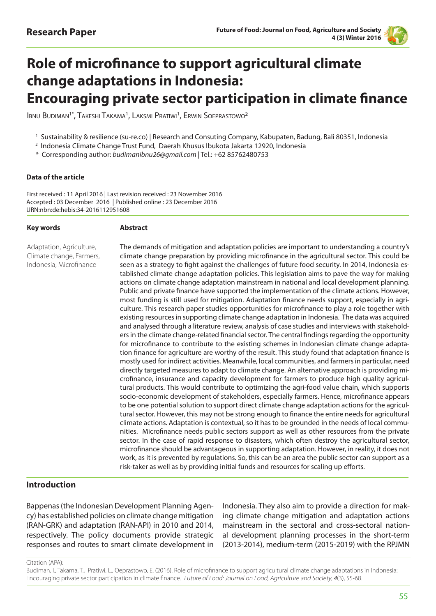

# **Role of microfinance to support agricultural climate change adaptations in Indonesia: Encouraging private sector participation in climate finance**

Ibnu Budiman<sup>1\*</sup>, Takeshi Takama<sup>1</sup>, Laksmi Pratiwi<sup>1</sup>, Erwin Soeprastowo<sup>2</sup>

<sup>1</sup> Sustainability & resilience (su-re.co) | Research and Consuting Company, Kabupaten, Badung, Bali 80351, Indonesia

2 Indonesia Climate Change Trust Fund, Daerah Khusus Ibukota Jakarta 12920, Indonesia

\* Corresponding author: *budimanibnu26@gmail.com* | Tel.: +62 85762480753

#### **Data of the article**

First received : 11 April 2016 | Last revision received : 23 November 2016 Accepted : 03 December 2016 | Published online : 23 December 2016 URN:nbn:de:hebis:34-2016112951608

#### **Key words**

#### **Abstract**

Adaptation, Agriculture, Climate change, Farmers, Indonesia, Microfinance

The demands of mitigation and adaptation policies are important to understanding a country's climate change preparation by providing microfinance in the agricultural sector. This could be seen as a strategy to fight against the challenges of future food security. In 2014, Indonesia established climate change adaptation policies. This legislation aims to pave the way for making actions on climate change adaptation mainstream in national and local development planning. Public and private finance have supported the implementation of the climate actions. However, most funding is still used for mitigation. Adaptation finance needs support, especially in agriculture. This research paper studies opportunities for microfinance to play a role together with existing resources in supporting climate change adaptation in Indonesia. The data was acquired and analysed through a literature review, analysis of case studies and interviews with stakeholders in the climate change-related financial sector. The central findings regarding the opportunity for microfinance to contribute to the existing schemes in Indonesian climate change adaptation finance for agriculture are worthy of the result. This study found that adaptation finance is mostly used for indirect activities. Meanwhile, local communities, and farmers in particular, need directly targeted measures to adapt to climate change. An alternative approach is providing microfinance, insurance and capacity development for farmers to produce high quality agricultural products. This would contribute to optimizing the agri-food value chain, which supports socio-economic development of stakeholders, especially farmers. Hence, microfinance appears to be one potential solution to support direct climate change adaptation actions for the agricultural sector. However, this may not be strong enough to finance the entire needs for agricultural climate actions. Adaptation is contextual, so it has to be grounded in the needs of local communities. Microfinance needs public sectors support as well as other resources from the private sector. In the case of rapid response to disasters, which often destroy the agricultural sector, microfinance should be advantageous in supporting adaptation. However, in reality, it does not work, as it is prevented by regulations. So, this can be an area the public sector can support as a risk-taker as well as by providing initial funds and resources for scaling up efforts.

#### **Introduction**

Bappenas (the Indonesian Development Planning Agency) has established policies on climate change mitigation (RAN-GRK) and adaptation (RAN-API) in 2010 and 2014, respectively. The policy documents provide strategic responses and routes to smart climate development in

Indonesia. They also aim to provide a direction for making climate change mitigation and adaptation actions mainstream in the sectoral and cross-sectoral national development planning processes in the short-term (2013-2014), medium-term (2015-2019) with the RPJMN

Citation (APA):

Budiman, I., Takama, T., Pratiwi, L., Oeprastowo, E. (2016). Role of microfinance to support agricultural climate change adaptations in Indonesia: Encouraging private sector participation in climate finance. Future of Food: Journal on Food, Agriculture and Society, *4*(3), 55-68.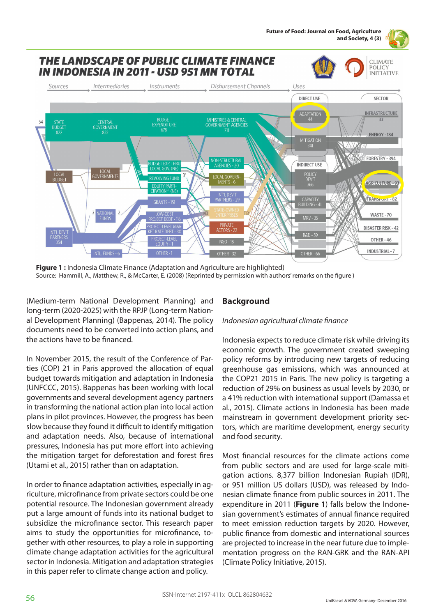

**Figure 1 :** Indonesia Climate Finance (Adaptation and Agriculture are highlighted) Source: Hammill, A., Matthew, R., & McCarter, E. (2008) (Reprinted by permission with authors' remarks on the figure )

(Medium-term National Development Planning) and long-term (2020-2025) with the RPJP (Long-term National Development Planning) (Bappenas, 2014). The policy documents need to be converted into action plans, and the actions have to be financed.

In November 2015, the result of the Conference of Parties (COP) 21 in Paris approved the allocation of equal budget towards mitigation and adaptation in Indonesia (UNFCCC, 2015). Bappenas has been working with local governments and several development agency partners in transforming the national action plan into local action plans in pilot provinces. However, the progress has been slow because they found it difficult to identify mitigation and adaptation needs. Also, because of international pressures, Indonesia has put more effort into achieving the mitigation target for deforestation and forest fires (Utami et al., 2015) rather than on adaptation.

In order to finance adaptation activities, especially in agriculture, microfinance from private sectors could be one potential resource. The Indonesian government already put a large amount of funds into its national budget to subsidize the microfinance sector. This research paper aims to study the opportunities for microfinance, together with other resources, to play a role in supporting climate change adaptation activities for the agricultural sector in Indonesia. Mitigation and adaptation strategies in this paper refer to climate change action and policy.

# **Background**

#### *Indonesian agricultural climate finance*

Indonesia expects to reduce climate risk while driving its economic growth. The government created sweeping policy reforms by introducing new targets of reducing greenhouse gas emissions, which was announced at the COP21 2015 in Paris. The new policy is targeting a reduction of 29% on business as usual levels by 2030, or a 41% reduction with international support (Damassa et al., 2015). Climate actions in Indonesia has been made mainstream in government development priority sectors, which are maritime development, energy security and food security.

Most financial resources for the climate actions come from public sectors and are used for large-scale mitigation actions. 8,377 billion Indonesian Rupiah (IDR), or 951 million US dollars (USD), was released by Indonesian climate finance from public sources in 2011. The expenditure in 2011 (**Figure 1**) falls below the Indonesian government's estimates of annual finance required to meet emission reduction targets by 2020. However, public finance from domestic and international sources are projected to increase in the near future due to implementation progress on the RAN-GRK and the RAN-API (Climate Policy Initiative, 2015).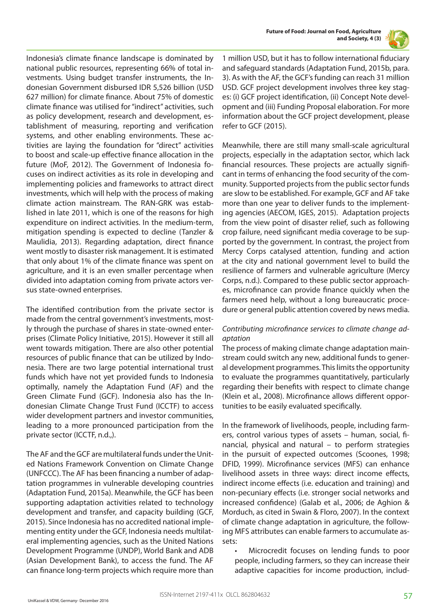



Indonesia's climate finance landscape is dominated by national public resources, representing 66% of total investments. Using budget transfer instruments, the Indonesian Government disbursed IDR 5,526 billion (USD 627 million) for climate finance. About 75% of domestic climate finance was utilised for "indirect" activities, such as policy development, research and development, establishment of measuring, reporting and verification systems, and other enabling environments. These activities are laying the foundation for "direct" activities to boost and scale-up effective finance allocation in the future (MoF, 2012). The Government of Indonesia focuses on indirect activities as its role in developing and implementing policies and frameworks to attract direct investments, which will help with the process of making climate action mainstream. The RAN-GRK was established in late 2011, which is one of the reasons for high expenditure on indirect activities. In the medium-term, mitigation spending is expected to decline (Tanzler & Maulidia, 2013). Regarding adaptation, direct finance went mostly to disaster risk management. It is estimated that only about 1% of the climate finance was spent on agriculture, and it is an even smaller percentage when divided into adaptation coming from private actors versus state-owned enterprises.

The identified contribution from the private sector is made from the central government's investments, mostly through the purchase of shares in state-owned enterprises (Climate Policy Initiative, 2015). However it still all went towards mitigation. There are also other potential resources of public finance that can be utilized by Indonesia. There are two large potential international trust funds which have not yet provided funds to Indonesia optimally, namely the Adaptation Fund (AF) and the Green Climate Fund (GCF). Indonesia also has the Indonesian Climate Change Trust Fund (ICCTF) to access wider development partners and investor communities, leading to a more pronounced participation from the private sector (ICCTF, n.d.,).

The AF and the GCF are multilateral funds under the United Nations Framework Convention on Climate Change (UNFCCC). The AF has been financing a number of adaptation programmes in vulnerable developing countries (Adaptation Fund, 2015a). Meanwhile, the GCF has been supporting adaptation activities related to technology development and transfer, and capacity building (GCF, 2015). Since Indonesia has no accredited national implementing entity under the GCF, Indonesia needs multilateral implementing agencies, such as the United Nations Development Programme (UNDP), World Bank and ADB (Asian Development Bank), to access the fund. The AF can finance long-term projects which require more than 1 million USD, but it has to follow international fiduciary and safeguard standards (Adaptation Fund, 2015b, para. 3). As with the AF, the GCF's funding can reach 31 million USD. GCF project development involves three key stages: (i) GCF project identification, (ii) Concept Note development and (iii) Funding Proposal elaboration. For more information about the GCF project development, please refer to GCF (2015).

Meanwhile, there are still many small-scale agricultural projects, especially in the adaptation sector, which lack financial resources. These projects are actually significant in terms of enhancing the food security of the community. Supported projects from the public sector funds are slow to be established. For example, GCF and AF take more than one year to deliver funds to the implementing agencies (AECOM, IGES, 2015). Adaptation projects from the view point of disaster relief, such as following crop failure, need significant media coverage to be supported by the government. In contrast, the project from Mercy Corps catalysed attention, funding and action at the city and national government level to build the resilience of farmers and vulnerable agriculture (Mercy Corps, n.d.). Compared to these public sector approaches, microfinance can provide finance quickly when the farmers need help, without a long bureaucratic procedure or general public attention covered by news media.

#### *Contributing microfinance services to climate change adaptation*

The process of making climate change adaptation mainstream could switch any new, additional funds to general development programmes. This limits the opportunity to evaluate the programmes quantitatively, particularly regarding their benefits with respect to climate change (Klein et al., 2008). Microfinance allows different opportunities to be easily evaluated specifically.

In the framework of livelihoods, people, including farmers, control various types of assets – human, social, financial, physical and natural – to perform strategies in the pursuit of expected outcomes (Scoones, 1998; DFID, 1999). Microfinance services (MFS) can enhance livelihood assets in three ways: direct income effects, indirect income effects (i.e. education and training) and non-pecuniary effects (i.e. stronger social networks and increased confidence) (Galab et al., 2006; de Aghion & Morduch, as cited in Swain & Floro, 2007). In the context of climate change adaptation in agriculture, the following MFS attributes can enable farmers to accumulate assets:

• Microcredit focuses on lending funds to poor people, including farmers, so they can increase their adaptive capacities for income production, includ-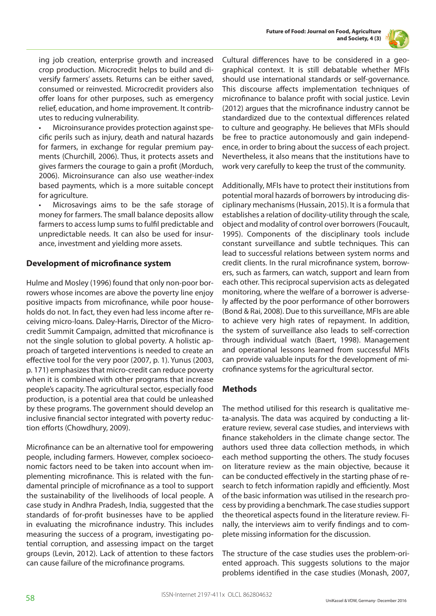



ing job creation, enterprise growth and increased crop production. Microcredit helps to build and diversify farmers' assets. Returns can be either saved, consumed or reinvested. Microcredit providers also offer loans for other purposes, such as emergency relief, education, and home improvement. It contributes to reducing vulnerability.

• Microinsurance provides protection against specific perils such as injury, death and natural hazards for farmers, in exchange for regular premium payments (Churchill, 2006). Thus, it protects assets and gives farmers the courage to gain a profit (Morduch, 2006). Microinsurance can also use weather-index based payments, which is a more suitable concept for agriculture.

• Microsavings aims to be the safe storage of money for farmers. The small balance deposits allow farmers to access lump sums to fulfil predictable and unpredictable needs. It can also be used for insurance, investment and yielding more assets.

#### **Development of microfinance system**

Hulme and Mosley (1996) found that only non-poor borrowers whose incomes are above the poverty line enjoy positive impacts from microfinance, while poor households do not. In fact, they even had less income after receiving micro-loans. Daley-Harris, Director of the Microcredit Summit Campaign, admitted that microfinance is not the single solution to global poverty. A holistic approach of targeted interventions is needed to create an effective tool for the very poor (2007, p. 1). Yunus (2003, p. 171) emphasizes that micro-credit can reduce poverty when it is combined with other programs that increase people's capacity. The agricultural sector, especially food production, is a potential area that could be unleashed by these programs. The government should develop an inclusive financial sector integrated with poverty reduction efforts (Chowdhury, 2009).

Microfinance can be an alternative tool for empowering people, including farmers. However, complex socioeconomic factors need to be taken into account when implementing microfinance. This is related with the fundamental principle of microfinance as a tool to support the sustainability of the livelihoods of local people. A case study in Andhra Pradesh, India, suggested that the standards of for-profit businesses have to be applied in evaluating the microfinance industry. This includes measuring the success of a program, investigating potential corruption, and assessing impact on the target groups (Levin, 2012). Lack of attention to these factors can cause failure of the microfinance programs.

Cultural differences have to be considered in a geographical context. It is still debatable whether MFIs should use international standards or self-governance. This discourse affects implementation techniques of microfinance to balance profit with social justice. Levin (2012) argues that the microfinance industry cannot be standardized due to the contextual differences related to culture and geography. He believes that MFIs should be free to practice autonomously and gain independence, in order to bring about the success of each project. Nevertheless, it also means that the institutions have to work very carefully to keep the trust of the community.

Additionally, MFIs have to protect their institutions from potential moral hazards of borrowers by introducing disciplinary mechanisms (Hussain, 2015). It is a formula that establishes a relation of docility-utility through the scale, object and modality of control over borrowers (Foucault, 1995). Components of the disciplinary tools include constant surveillance and subtle techniques. This can lead to successful relations between system norms and credit clients. In the rural microfinance system, borrowers, such as farmers, can watch, support and learn from each other. This reciprocal supervision acts as delegated monitoring, where the welfare of a borrower is adversely affected by the poor performance of other borrowers (Bond & Rai, 2008). Due to this surveillance, MFIs are able to achieve very high rates of repayment. In addition, the system of surveillance also leads to self-correction through individual watch (Baert, 1998). Management and operational lessons learned from successful MFIs can provide valuable inputs for the development of microfinance systems for the agricultural sector.

#### **Methods**

The method utilised for this research is qualitative meta-analysis. The data was acquired by conducting a literature review, several case studies, and interviews with finance stakeholders in the climate change sector. The authors used three data collection methods, in which each method supporting the others. The study focuses on literature review as the main objective, because it can be conducted effectively in the starting phase of research to fetch information rapidly and efficiently. Most of the basic information was utilised in the research process by providing a benchmark. The case studies support the theoretical aspects found in the literature review. Finally, the interviews aim to verify findings and to complete missing information for the discussion.

The structure of the case studies uses the problem-oriented approach. This suggests solutions to the major problems identified in the case studies (Monash, 2007,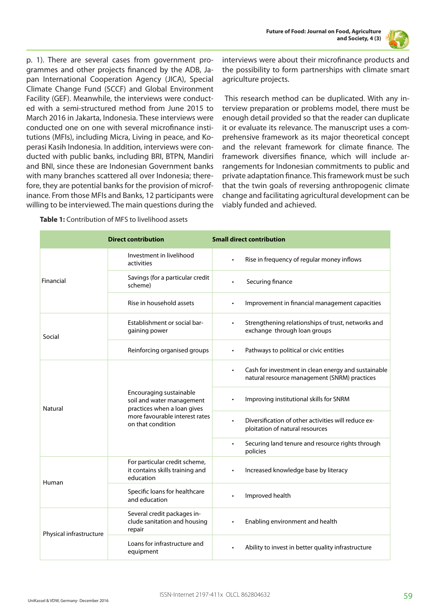

p. 1). There are several cases from government programmes and other projects financed by the ADB, Japan International Cooperation Agency (JICA), Special Climate Change Fund (SCCF) and Global Environment Facility (GEF). Meanwhile, the interviews were conducted with a semi-structured method from June 2015 to March 2016 in Jakarta, Indonesia. These interviews were conducted one on one with several microfinance institutions (MFIs), including Micra, Living in peace, and Koperasi Kasih Indonesia. In addition, interviews were conducted with public banks, including BRI, BTPN, Mandiri and BNI, since these are Indonesian Government banks with many branches scattered all over Indonesia; therefore, they are potential banks for the provision of microfinance. From those MFIs and Banks, 12 participants were willing to be interviewed. The main questions during the interviews were about their microfinance products and the possibility to form partnerships with climate smart agriculture projects.

 This research method can be duplicated. With any interview preparation or problems model, there must be enough detail provided so that the reader can duplicate it or evaluate its relevance. The manuscript uses a comprehensive framework as its major theoretical concept and the relevant framework for climate finance. The framework diversifies finance, which will include arrangements for Indonesian commitments to public and private adaptation finance. This framework must be such that the twin goals of reversing anthropogenic climate change and facilitating agricultural development can be viably funded and achieved.

|                         | <b>Direct contribution</b>                                                                                                                 | <b>Small direct contribution</b>                                                                                 |
|-------------------------|--------------------------------------------------------------------------------------------------------------------------------------------|------------------------------------------------------------------------------------------------------------------|
| Financial               | Investment in livelihood<br>activities                                                                                                     | Rise in frequency of regular money inflows                                                                       |
|                         | Savings (for a particular credit<br>scheme)                                                                                                | Securing finance                                                                                                 |
|                         | Rise in household assets                                                                                                                   | Improvement in financial management capacities                                                                   |
| Social                  | Establishment or social bar-<br>gaining power                                                                                              | Strengthening relationships of trust, networks and<br>exchange through loan groups                               |
|                         | Reinforcing organised groups                                                                                                               | Pathways to political or civic entities<br>$\bullet$                                                             |
| <b>Natural</b>          | Encouraging sustainable<br>soil and water management<br>practices when a loan gives<br>more favourable interest rates<br>on that condition | Cash for investment in clean energy and sustainable<br>$\bullet$<br>natural resource management (SNRM) practices |
|                         |                                                                                                                                            | Improving institutional skills for SNRM                                                                          |
|                         |                                                                                                                                            | Diversification of other activities will reduce ex-<br>$\bullet$<br>ploitation of natural resources              |
|                         |                                                                                                                                            | Securing land tenure and resource rights through<br>$\bullet$<br>policies                                        |
| Human                   | For particular credit scheme,<br>it contains skills training and<br>education                                                              | Increased knowledge base by literacy                                                                             |
|                         | Specific loans for healthcare<br>and education                                                                                             | Improved health                                                                                                  |
| Physical infrastructure | Several credit packages in-<br>clude sanitation and housing<br>repair                                                                      | Enabling environment and health                                                                                  |
|                         | Loans for infrastructure and<br>equipment                                                                                                  | Ability to invest in better quality infrastructure                                                               |

**Table 1:** Contribution of MFS to livelihood assets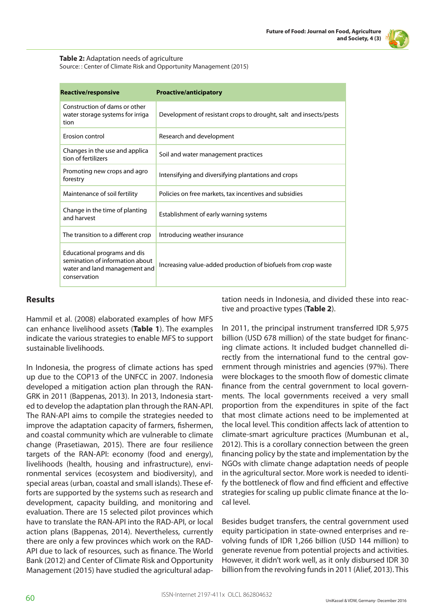

#### **Table 2:** Adaptation needs of agriculture

Source: : Center of Climate Risk and Opportunity Management (2015)

| <b>Reactive/responsive</b>                                                                                       | <b>Proactive/anticipatory</b>                                     |
|------------------------------------------------------------------------------------------------------------------|-------------------------------------------------------------------|
| Construction of dams or other<br>water storage systems for irriga<br>tion                                        | Development of resistant crops to drought, salt and insects/pests |
| <b>Erosion control</b>                                                                                           | Research and development                                          |
| Changes in the use and applica<br>tion of fertilizers                                                            | Soil and water management practices                               |
| Promoting new crops and agro<br>forestry                                                                         | Intensifying and diversifying plantations and crops               |
| Maintenance of soil fertility                                                                                    | Policies on free markets, tax incentives and subsidies            |
| Change in the time of planting<br>and harvest                                                                    | Establishment of early warning systems                            |
| The transition to a different crop                                                                               | Introducing weather insurance                                     |
| Educational programs and dis<br>semination of information about<br>water and land management and<br>conservation | Increasing value-added production of biofuels from crop waste     |

#### **Results**

Hammil et al. (2008) elaborated examples of how MFS can enhance livelihood assets (**Table 1**). The examples indicate the various strategies to enable MFS to support sustainable livelihoods.

In Indonesia, the progress of climate actions has sped up due to the COP13 of the UNFCC in 2007. Indonesia developed a mitigation action plan through the RAN-GRK in 2011 (Bappenas, 2013). In 2013, Indonesia started to develop the adaptation plan through the RAN-API. The RAN-API aims to compile the strategies needed to improve the adaptation capacity of farmers, fishermen, and coastal community which are vulnerable to climate change (Prasetiawan, 2015). There are four resilience targets of the RAN-API: economy (food and energy), livelihoods (health, housing and infrastructure), environmental services (ecosystem and biodiversity), and special areas (urban, coastal and small islands). These efforts are supported by the systems such as research and development, capacity building, and monitoring and evaluation. There are 15 selected pilot provinces which have to translate the RAN-API into the RAD-API, or local action plans (Bappenas, 2014). Nevertheless, currently there are only a few provinces which work on the RAD-API due to lack of resources, such as finance. The World Bank (2012) and Center of Climate Risk and Opportunity Management (2015) have studied the agricultural adaptation needs in Indonesia, and divided these into reactive and proactive types (**Table 2**).

In 2011, the principal instrument transferred IDR 5,975 billion (USD 678 million) of the state budget for financing climate actions. It included budget channelled directly from the international fund to the central government through ministries and agencies (97%). There were blockages to the smooth flow of domestic climate finance from the central government to local governments. The local governments received a very small proportion from the expenditures in spite of the fact that most climate actions need to be implemented at the local level. This condition affects lack of attention to climate-smart agriculture practices (Mumbunan et al., 2012). This is a corollary connection between the green financing policy by the state and implementation by the NGOs with climate change adaptation needs of people in the agricultural sector. More work is needed to identify the bottleneck of flow and find efficient and effective strategies for scaling up public climate finance at the local level.

Besides budget transfers, the central government used equity participation in state-owned enterprises and revolving funds of IDR 1,266 billion (USD 144 million) to generate revenue from potential projects and activities. However, it didn't work well, as it only disbursed IDR 30 billion from the revolving funds in 2011 (Alief, 2013). This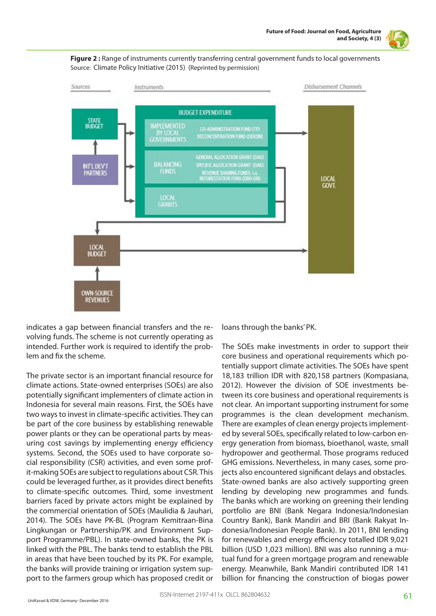





indicates a gap between financial transfers and the revolving funds. The scheme is not currently operating as intended. Further work is required to identify the problem and fix the scheme.

The private sector is an important financial resource for climate actions. State-owned enterprises (SOEs) are also potentially significant implementers of climate action in Indonesia for several main reasons. First, the SOEs have two ways to invest in climate-specific activities. They can be part of the core business by establishing renewable power plants or they can be operational parts by measuring cost savings by implementing energy efficiency systems. Second, the SOEs used to have corporate social responsibility (CSR) activities, and even some profit-making SOEs are subject to regulations about CSR. This could be leveraged further, as it provides direct benefits to climate-specific outcomes. Third, some investment barriers faced by private actors might be explained by the commercial orientation of SOEs (Maulidia & Jauhari, 2014). The SOEs have PK-BL (Program Kemitraan-Bina Lingkungan or Partnership/PK and Environment Support Programme/PBL). In state-owned banks, the PK is linked with the PBL. The banks tend to establish the PBL in areas that have been touched by its PK. For example, the banks will provide training or irrigation system support to the farmers group which has proposed credit or

loans through the banks' PK.

The SOEs make investments in order to support their core business and operational requirements which potentially support climate activities. The SOEs have spent 18,183 trillion IDR with 820,158 partners (Kompasiana, 2012). However the division of SOE investments between its core business and operational requirements is not clear. An important supporting instrument for some programmes is the clean development mechanism. There are examples of clean energy projects implemented by several SOEs, specifically related to low-carbon energy generation from biomass, bioethanol, waste, small hydropower and geothermal. Those programs reduced GHG emissions. Nevertheless, in many cases, some projects also encountered significant delays and obstacles. State-owned banks are also actively supporting green lending by developing new programmes and funds. The banks which are working on greening their lending portfolio are BNI (Bank Negara Indonesia/Indonesian Country Bank), Bank Mandiri and BRI (Bank Rakyat Indonesia/Indonesian People Bank). In 2011, BNI lending for renewables and energy efficiency totalled IDR 9,021 billion (USD 1,023 million). BNI was also running a mutual fund for a green mortgage program and renewable energy. Meanwhile, Bank Mandiri contributed IDR 141 billion for financing the construction of biogas power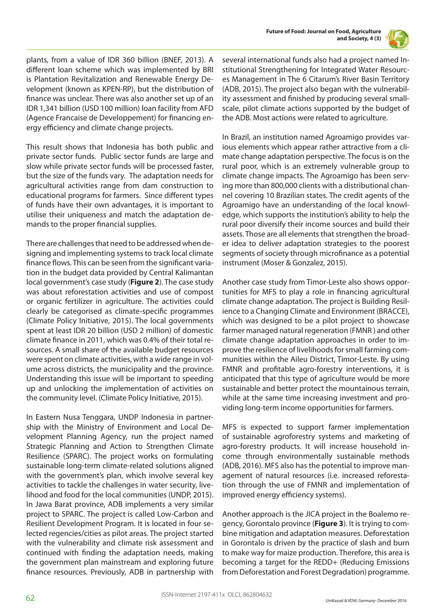

plants, from a value of IDR 360 billion (BNEF, 2013). A different loan scheme which was implemented by BRI is Plantation Revitalization and Renewable Energy Development (known as KPEN-RP), but the distribution of finance was unclear. There was also another set up of an IDR 1,341 billion (USD 100 million) loan facility from AFD (Agence Francaise de Developpement) for financing energy efficiency and climate change projects.

This result shows that Indonesia has both public and private sector funds. Public sector funds are large and slow while private sector funds will be processed faster, but the size of the funds vary. The adaptation needs for agricultural activities range from dam construction to educational programs for farmers. Since different types of funds have their own advantages, it is important to utilise their uniqueness and match the adaptation demands to the proper financial supplies.

There are challenges that need to be addressed when designing and implementing systems to track local climate finance flows. This can be seen from the significant variation in the budget data provided by Central Kalimantan local government's case study (**Figure 2**). The case study was about reforestation activities and use of compost or organic fertilizer in agriculture. The activities could clearly be categorised as climate-specific programmes (Climate Policy Initiative, 2015). The local governments spent at least IDR 20 billion (USD 2 million) of domestic climate finance in 2011, which was 0.4% of their total resources. A small share of the available budget resources were spent on climate activities, with a wide range in volume across districts, the municipality and the province. Understanding this issue will be important to speeding up and unlocking the implementation of activities on the community level. (Climate Policy Initiative, 2015).

In Eastern Nusa Tenggara, UNDP Indonesia in partnership with the Ministry of Environment and Local Development Planning Agency, run the project named Strategic Planning and Action to Strengthen Climate Resilience (SPARC). The project works on formulating sustainable long-term climate-related solutions aligned with the government's plan, which involve several key activities to tackle the challenges in water security, livelihood and food for the local communities (UNDP, 2015). In Jawa Barat province, ADB implements a very similar project to SPARC. The project is called Low-Carbon and Resilient Development Program. It is located in four selected regencies/cities as pilot areas. The project started with the vulnerability and climate risk assessment and continued with finding the adaptation needs, making the government plan mainstream and exploring future finance resources. Previously, ADB in partnership with

several international funds also had a project named Institutional Strengthening for Integrated Water Resources Management in The 6 Citarum's River Basin Territory (ADB, 2015). The project also began with the vulnerability assessment and finished by producing several smallscale, pilot climate actions supported by the budget of the ADB. Most actions were related to agriculture.

In Brazil, an institution named Agroamigo provides various elements which appear rather attractive from a climate change adaptation perspective. The focus is on the rural poor, which is an extremely vulnerable group to climate change impacts. The Agroamigo has been serving more than 800,000 clients with a distributional channel covering 10 Brazilian states. The credit agents of the Agroamigo have an understanding of the local knowledge, which supports the institution's ability to help the rural poor diversify their income sources and build their assets. Those are all elements that strengthen the broader idea to deliver adaptation strategies to the poorest segments of society through microfinance as a potential instrument (Moser & Gonzalez, 2015).

Another case study from Timor-Leste also shows opportunities for MFS to play a role in financing agricultural climate change adaptation. The project is Building Resilience to a Changing Climate and Environment (BRACCE), which was designed to be a pilot project to showcase farmer managed natural regeneration (FMNR ) and other climate change adaptation approaches in order to improve the resilience of livelihoods for small farming communities within the Aileu District, Timor-Leste. By using FMNR and profitable agro-forestry interventions, it is anticipated that this type of agriculture would be more sustainable and better protect the mountainous terrain, while at the same time increasing investment and providing long-term income opportunities for farmers.

MFS is expected to support farmer implementation of sustainable agroforestry systems and marketing of agro-forestry products. It will increase household income through environmentally sustainable methods (ADB, 2016). MFS also has the potential to improve management of natural resources (i.e. increased reforestation through the use of FMNR and implementation of improved energy efficiency systems).

Another approach is the JICA project in the Boalemo regency, Gorontalo province (**Figure 3**). It is trying to combine mitigation and adaptation measures. Deforestation in Gorontalo is driven by the practice of slash and burn to make way for maize production. Therefore, this area is becoming a target for the REDD+ (Reducing Emissions from Deforestation and Forest Degradation) programme.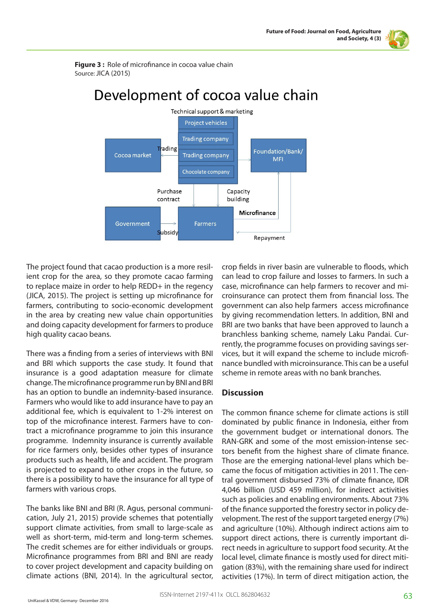

**Figure 3:** Role of microfinance in cocoa value chain Source: JICA (2015)



# Development of cocoa value chain

The project found that cacao production is a more resilient crop for the area, so they promote cacao farming to replace maize in order to help REDD+ in the regency (JICA, 2015). The project is setting up microfinance for farmers, contributing to socio-economic development in the area by creating new value chain opportunities and doing capacity development for farmers to produce high quality cacao beans.

There was a finding from a series of interviews with BNI and BRI which supports the case study. It found that insurance is a good adaptation measure for climate change. The microfinance programme run by BNI and BRI has an option to bundle an indemnity-based insurance. Farmers who would like to add insurance have to pay an additional fee, which is equivalent to 1-2% interest on top of the microfinance interest. Farmers have to contract a microfinance programme to join this insurance programme. Indemnity insurance is currently available for rice farmers only, besides other types of insurance products such as health, life and accident. The program is projected to expand to other crops in the future, so there is a possibility to have the insurance for all type of farmers with various crops.

The banks like BNI and BRI (R. Agus, personal communication, July 21, 2015) provide schemes that potentially support climate activities, from small to large-scale as well as short-term, mid-term and long-term schemes. The credit schemes are for either individuals or groups. Microfinance programmes from BRI and BNI are ready to cover project development and capacity building on climate actions (BNI, 2014). In the agricultural sector,

crop fields in river basin are vulnerable to floods, which can lead to crop failure and losses to farmers. In such a case, microfinance can help farmers to recover and microinsurance can protect them from financial loss. The government can also help farmers access microfinance by giving recommendation letters. In addition, BNI and BRI are two banks that have been approved to launch a branchless banking scheme, namely Laku Pandai. Currently, the programme focuses on providing savings services, but it will expand the scheme to include microfinance bundled with microinsurance. This can be a useful scheme in remote areas with no bank branches.

## **Discussion**

The common finance scheme for climate actions is still dominated by public finance in Indonesia, either from the government budget or international donors. The RAN-GRK and some of the most emission-intense sectors benefit from the highest share of climate finance. Those are the emerging national-level plans which became the focus of mitigation activities in 2011. The central government disbursed 73% of climate finance, IDR 4,046 billion (USD 459 million), for indirect activities such as policies and enabling environments. About 73% of the finance supported the forestry sector in policy development. The rest of the support targeted energy (7%) and agriculture (10%). Although indirect actions aim to support direct actions, there is currently important direct needs in agriculture to support food security. At the local level, climate finance is mostly used for direct mitigation (83%), with the remaining share used for indirect activities (17%). In term of direct mitigation action, the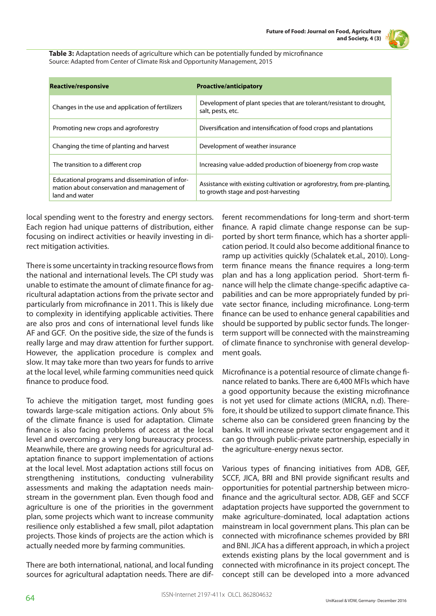**Table 3:** Adaptation needs of agriculture which can be potentially funded by microfinance Source: Adapted from Center of Climate Risk and Opportunity Management, 2015

| <b>Reactive/responsive</b>                                                                                        | <b>Proactive/anticipatory</b>                                                                                   |
|-------------------------------------------------------------------------------------------------------------------|-----------------------------------------------------------------------------------------------------------------|
| Changes in the use and application of fertilizers                                                                 | Development of plant species that are tolerant/resistant to drought,<br>salt, pests, etc.                       |
| Promoting new crops and agroforestry                                                                              | Diversification and intensification of food crops and plantations                                               |
| Changing the time of planting and harvest                                                                         | Development of weather insurance                                                                                |
| The transition to a different crop                                                                                | Increasing value-added production of bioenergy from crop waste                                                  |
| Educational programs and dissemination of infor-<br>mation about conservation and management of<br>land and water | Assistance with existing cultivation or agroforestry, from pre-planting,<br>to growth stage and post-harvesting |

local spending went to the forestry and energy sectors. Each region had unique patterns of distribution, either focusing on indirect activities or heavily investing in direct mitigation activities.

There is some uncertainty in tracking resource flows from the national and international levels. The CPI study was unable to estimate the amount of climate finance for agricultural adaptation actions from the private sector and particularly from microfinance in 2011. This is likely due to complexity in identifying applicable activities. There are also pros and cons of international level funds like AF and GCF. On the positive side, the size of the funds is really large and may draw attention for further support. However, the application procedure is complex and slow. It may take more than two years for funds to arrive at the local level, while farming communities need quick finance to produce food.

To achieve the mitigation target, most funding goes towards large-scale mitigation actions. Only about 5% of the climate finance is used for adaptation. Climate finance is also facing problems of access at the local level and overcoming a very long bureaucracy process. Meanwhile, there are growing needs for agricultural adaptation finance to support implementation of actions at the local level. Most adaptation actions still focus on strengthening institutions, conducting vulnerability assessments and making the adaptation needs mainstream in the government plan. Even though food and agriculture is one of the priorities in the government plan, some projects which want to increase community resilience only established a few small, pilot adaptation projects. Those kinds of projects are the action which is actually needed more by farming communities.

There are both international, national, and local funding sources for agricultural adaptation needs. There are different recommendations for long-term and short-term finance. A rapid climate change response can be supported by short term finance, which has a shorter application period. It could also become additional finance to ramp up activities quickly (Schalatek et.al., 2010). Longterm finance means the finance requires a long-term plan and has a long application period. Short-term finance will help the climate change-specific adaptive capabilities and can be more appropriately funded by private sector finance, including microfinance. Long-term finance can be used to enhance general capabilities and should be supported by public sector funds. The longerterm support will be connected with the mainstreaming of climate finance to synchronise with general development goals.

Microfinance is a potential resource of climate change finance related to banks. There are 6,400 MFIs which have a good opportunity because the existing microfinance is not yet used for climate actions (MICRA, n.d). Therefore, it should be utilized to support climate finance. This scheme also can be considered green financing by the banks. It will increase private sector engagement and it can go through public-private partnership, especially in the agriculture-energy nexus sector.

Various types of financing initiatives from ADB, GEF, SCCF, JICA, BRI and BNI provide significant results and opportunities for potential partnership between microfinance and the agricultural sector. ADB, GEF and SCCF adaptation projects have supported the government to make agriculture-dominated, local adaptation actions mainstream in local government plans. This plan can be connected with microfinance schemes provided by BRI and BNI. JICA has a different approach, in which a project extends existing plans by the local government and is connected with microfinance in its project concept. The concept still can be developed into a more advanced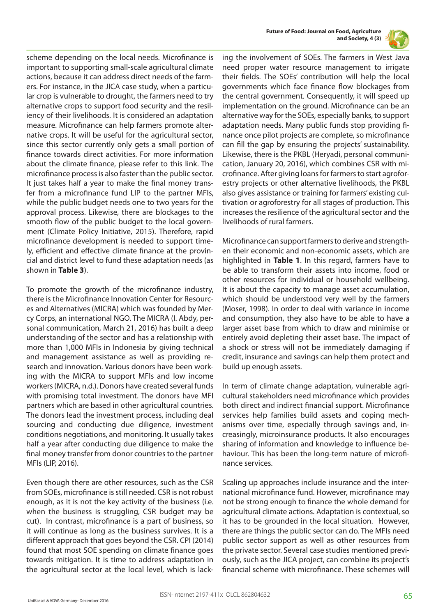



scheme depending on the local needs. Microfinance is important to supporting small-scale agricultural climate actions, because it can address direct needs of the farmers. For instance, in the JICA case study, when a particular crop is vulnerable to drought, the farmers need to try alternative crops to support food security and the resiliency of their livelihoods. It is considered an adaptation measure. Microfinance can help farmers promote alternative crops. It will be useful for the agricultural sector, since this sector currently only gets a small portion of finance towards direct activities. For more information about the climate finance, please refer to this link. The microfinance process is also faster than the public sector. It just takes half a year to make the final money transfer from a microfinance fund LIP to the partner MFIs, while the public budget needs one to two years for the approval process. Likewise, there are blockages to the smooth flow of the public budget to the local government (Climate Policy Initiative, 2015). Therefore, rapid microfinance development is needed to support timely, efficient and effective climate finance at the provincial and district level to fund these adaptation needs (as shown in **Table 3**).

To promote the growth of the microfinance industry, there is the Microfinance Innovation Center for Resources and Alternatives (MICRA) which was founded by Mercy Corps, an international NGO. The MICRA (I. Abdy, personal communication, March 21, 2016) has built a deep understanding of the sector and has a relationship with more than 1,000 MFIs in Indonesia by giving technical and management assistance as well as providing research and innovation. Various donors have been working with the MICRA to support MFIs and low income workers (MICRA, n.d.). Donors have created several funds with promising total investment. The donors have MFI partners which are based in other agricultural countries. The donors lead the investment process, including deal sourcing and conducting due diligence, investment conditions negotiations, and monitoring. It usually takes half a year after conducting due diligence to make the final money transfer from donor countries to the partner MFIs (LIP, 2016).

Even though there are other resources, such as the CSR from SOEs, microfinance is still needed. CSR is not robust enough, as it is not the key activity of the business (i.e. when the business is struggling, CSR budget may be cut). In contrast, microfinance is a part of business, so it will continue as long as the business survives. It is a different approach that goes beyond the CSR. CPI (2014) found that most SOE spending on climate finance goes towards mitigation. It is time to address adaptation in the agricultural sector at the local level, which is lacking the involvement of SOEs. The farmers in West Java need proper water resource management to irrigate their fields. The SOEs' contribution will help the local governments which face finance flow blockages from the central government. Consequently, it will speed up implementation on the ground. Microfinance can be an alternative way for the SOEs, especially banks, to support adaptation needs. Many public funds stop providing finance once pilot projects are complete, so microfinance can fill the gap by ensuring the projects' sustainability. Likewise, there is the PKBL (Heryadi, personal communication, January 20, 2016), which combines CSR with microfinance. After giving loans for farmers to start agroforestry projects or other alternative livelihoods, the PKBL also gives assistance or training for farmers' existing cultivation or agroforestry for all stages of production. This increases the resilience of the agricultural sector and the livelihoods of rural farmers.

Microfinance can support farmers to derive and strengthen their economic and non-economic assets, which are highlighted in **Table 1**. In this regard, farmers have to be able to transform their assets into income, food or other resources for individual or household wellbeing. It is about the capacity to manage asset accumulation, which should be understood very well by the farmers (Moser, 1998). In order to deal with variance in income and consumption, they also have to be able to have a larger asset base from which to draw and minimise or entirely avoid depleting their asset base. The impact of a shock or stress will not be immediately damaging if credit, insurance and savings can help them protect and build up enough assets.

In term of climate change adaptation, vulnerable agricultural stakeholders need microfinance which provides both direct and indirect financial support. Microfinance services help families build assets and coping mechanisms over time, especially through savings and, increasingly, microinsurance products. It also encourages sharing of information and knowledge to influence behaviour. This has been the long-term nature of microfinance services.

Scaling up approaches include insurance and the international microfinance fund. However, microfinance may not be strong enough to finance the whole demand for agricultural climate actions. Adaptation is contextual, so it has to be grounded in the local situation. However, there are things the public sector can do. The MFIs need public sector support as well as other resources from the private sector. Several case studies mentioned previously, such as the JICA project, can combine its project's financial scheme with microfinance. These schemes will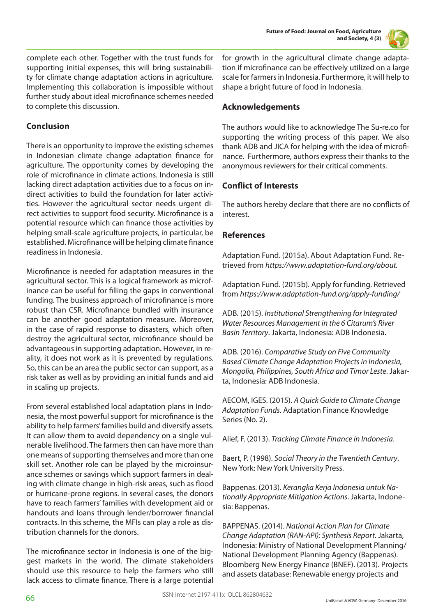

complete each other. Together with the trust funds for supporting initial expenses, this will bring sustainability for climate change adaptation actions in agriculture. Implementing this collaboration is impossible without further study about ideal microfinance schemes needed to complete this discussion.

# **Conclusion**

There is an opportunity to improve the existing schemes in Indonesian climate change adaptation finance for agriculture. The opportunity comes by developing the role of microfinance in climate actions. Indonesia is still lacking direct adaptation activities due to a focus on indirect activities to build the foundation for later activities. However the agricultural sector needs urgent direct activities to support food security. Microfinance is a potential resource which can finance those activities by helping small-scale agriculture projects, in particular, be established. Microfinance will be helping climate finance readiness in Indonesia.

Microfinance is needed for adaptation measures in the agricultural sector. This is a logical framework as microfinance can be useful for filling the gaps in conventional funding. The business approach of microfinance is more robust than CSR. Microfinance bundled with insurance can be another good adaptation measure. Moreover, in the case of rapid response to disasters, which often destroy the agricultural sector, microfinance should be advantageous in supporting adaptation. However, in reality, it does not work as it is prevented by regulations. So, this can be an area the public sector can support, as a risk taker as well as by providing an initial funds and aid in scaling up projects.

From several established local adaptation plans in Indonesia, the most powerful support for microfinance is the ability to help farmers' families build and diversify assets. It can allow them to avoid dependency on a single vulnerable livelihood. The farmers then can have more than one means of supporting themselves and more than one skill set. Another role can be played by the microinsurance schemes or savings which support farmers in dealing with climate change in high-risk areas, such as flood or hurricane-prone regions. In several cases, the donors have to reach farmers' families with development aid or handouts and loans through lender/borrower financial contracts. In this scheme, the MFIs can play a role as distribution channels for the donors.

The microfinance sector in Indonesia is one of the biggest markets in the world. The climate stakeholders should use this resource to help the farmers who still lack access to climate finance. There is a large potential for growth in the agricultural climate change adaptation if microfinance can be effectively utilized on a large scale for farmers in Indonesia. Furthermore, it will help to shape a bright future of food in Indonesia.

# **Acknowledgements**

The authors would like to acknowledge The Su-re.co for supporting the writing process of this paper. We also thank ADB and JICA for helping with the idea of microfinance. Furthermore, authors express their thanks to the anonymous reviewers for their critical comments.

# **Conflict of Interests**

The authors hereby declare that there are no conflicts of interest.

## **References**

Adaptation Fund. (2015a). About Adaptation Fund. Retrieved from *https://www.adaptation-fund.org/about.*

Adaptation Fund. (2015b). Apply for funding. Retrieved from *https://www.adaptation-fund.org/apply-funding/*

ADB. (2015). *Institutional Strengthening for Integrated Water Resources Management in the 6 Citarum's River Basin Territory*. Jakarta, Indonesia: ADB Indonesia.

ADB. (2016). *Comparative Study on Five Community Based Climate Change Adaptation Projects in Indonesia, Mongolia, Philippines, South Africa and Timor Leste*. Jakarta, Indonesia: ADB Indonesia.

AECOM, IGES. (2015). *A Quick Guide to Climate Change Adaptation Funds*. Adaptation Finance Knowledge Series (No. 2).

Alief, F. (2013). *Tracking Climate Finance in Indonesia*.

Baert, P. (1998). *Social Theory in the Twentieth Century*. New York: New York University Press.

Bappenas. (2013). *Kerangka Kerja Indonesia untuk Nationally Appropriate Mitigation Actions*. Jakarta, Indonesia: Bappenas.

BAPPENAS. (2014). *National Action Plan for Climate Change Adaptation (RAN-API): Synthesis Report*. Jakarta, Indonesia: Ministry of National Development Planning/ National Development Planning Agency (Bappenas). Bloomberg New Energy Finance (BNEF). (2013). Projects and assets database: Renewable energy projects and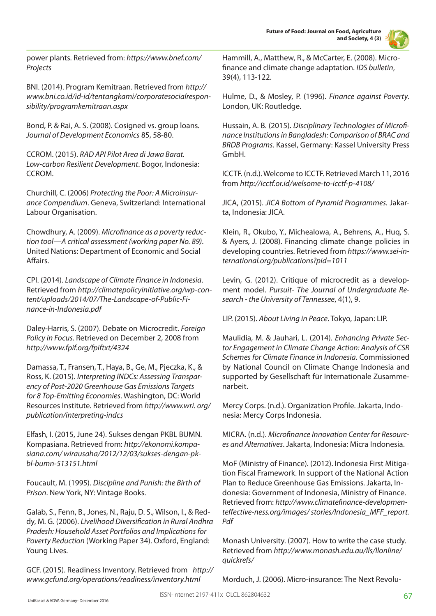**Future of Food: Journal on Food, Agriculture and Society, 4 (3)**



power plants. Retrieved from: *https://www.bnef.com/ Projects* 

BNI. (2014). Program Kemitraan. Retrieved from *http:// www.bni.co.id/id-id/tentangkami/corporatesocialresponsibility/programkemitraan.aspx*

Bond, P. & Rai, A. S. (2008). Cosigned vs. group loans. *Journal of Development Economics* 85, 58-80.

CCROM. (2015). *RAD API Pilot Area di Jawa Barat. Low-carbon Resilient Development*. Bogor, Indonesia: CCROM.

Churchill, C. (2006) *Protecting the Poor: A Microinsurance Compendium*. Geneva, Switzerland: International Labour Organisation.

Chowdhury, A. (2009). *Microfinance as a poverty reduction tool—A critical assessment (working paper No. 89)*. United Nations: Department of Economic and Social Affairs.

CPI. (2014). *Landscape of Climate Finance in Indonesia*. Retrieved from *http://climatepolicyinitiative.org/wp-content/uploads/2014/07/The-Landscape-of-Public-Finance-in-Indonesia.pdf*

Daley-Harris, S. (2007). Debate on Microcredit. *Foreign Policy in Focus*. Retrieved on December 2, 2008 from *http://www.fpif.org/fpiftxt/4324* 

Damassa, T., Fransen, T., Haya, B., Ge, M., Pjeczka, K., & Ross, K. (2015). *Interpreting INDCs: Assessing Transparency of Post-2020 Greenhouse Gas Emissions Targets for 8 Top-Emitting Economies*. Washington, DC: World Resources Institute. Retrieved from *http://www.wri. org/ publication/interpreting-indcs*

Elfash, I. (2015, June 24). Sukses dengan PKBL BUMN. Kompasiana. Retrieved from: *http://ekonomi.kompasiana.com/ wirausaha/2012/12/03/sukses-dengan-pkbl-bumn-513151.html* 

Foucault, M. (1995). *Discipline and Punish: the Birth of Prison*. New York, NY: Vintage Books.

Galab, S., Fenn, B., Jones, N., Raju, D. S., Wilson, I., & Reddy, M. G. (2006). *Livelihood Diversification in Rural Andhra Pradesh: Household Asset Portfolios and Implications for Poverty Reduction* (Working Paper 34). Oxford, England: Young Lives.

GCF. (2015). Readiness Inventory. Retrieved from *http:// www.gcfund.org/operations/readiness/inventory.html* 

Hammill, A., Matthew, R., & McCarter, E. (2008). Microfinance and climate change adaptation. *IDS bulletin*, 39(4), 113-122.

Hulme, D., & Mosley, P. (1996). *Finance against Poverty*. London, UK: Routledge.

Hussain, A. B. (2015). *Disciplinary Technologies of Microfinance Institutions in Bangladesh: Comparison of BRAC and BRDB Programs*. Kassel, Germany: Kassel University Press GmbH.

ICCTF. (n.d.). Welcome to ICCTF. Retrieved March 11, 2016 from *http://icctf.or.id/welsome-to-icctf-p-4108/* 

JICA, (2015). *JICA Bottom of Pyramid Programmes.* Jakarta, Indonesia: JICA.

Klein, R., Okubo, Y., Michealowa, A., Behrens, A., Huq, S. & Ayers, J. (2008). Financing climate change policies in developing countries. Retrieved from *https://www.sei-international.org/publications?pid=1011* 

Levin, G. (2012). Critique of microcredit as a development model. *Pursuit- The Journal of Undergraduate Research - the University of Tennessee*, 4(1), 9.

LIP. (2015). *About Living in Peace*. Tokyo, Japan: LIP.

Maulidia, M. & Jauhari, L. (2014). *Enhancing Private Sector Engagement in Climate Change Action: Analysis of CSR Schemes for Climate Finance in Indonesia.* Commissioned by National Council on Climate Change Indonesia and supported by Gesellschaft für Internationale Zusammenarbeit.

Mercy Corps. (n.d.). Organization Profile. Jakarta, Indonesia: Mercy Corps Indonesia.

MICRA. (n.d.). *Microfinance Innovation Center for Resources and Alternatives*. Jakarta, Indonesia: Micra Indonesia.

MoF (Ministry of Finance). (2012). Indonesia First Mitigation Fiscal Framework. In support of the National Action Plan to Reduce Greenhouse Gas Emissions. Jakarta, Indonesia: Government of Indonesia, Ministry of Finance. Retrieved from: *http://www.climatefinance-developmenteffective-ness.org/images/ stories/Indonesia\_MFF\_report. Pdf* 

Monash University. (2007). How to write the case study. Retrieved from *http://www.monash.edu.au/lls/llonline/ quickrefs/* 

Morduch, J. (2006). Micro-insurance: The Next Revolu-